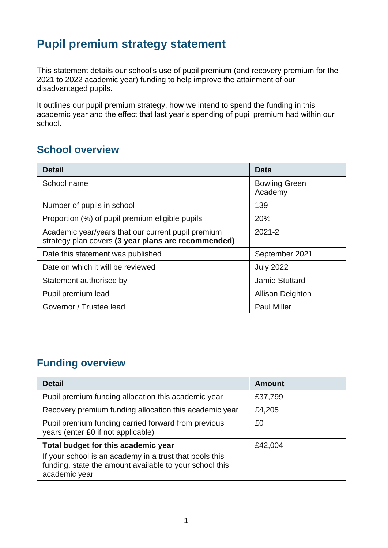## **Pupil premium strategy statement**

This statement details our school's use of pupil premium (and recovery premium for the 2021 to 2022 academic year) funding to help improve the attainment of our disadvantaged pupils.

It outlines our pupil premium strategy, how we intend to spend the funding in this academic year and the effect that last year's spending of pupil premium had within our school.

#### **School overview**

| <b>Detail</b>                                                                                             | Data                            |
|-----------------------------------------------------------------------------------------------------------|---------------------------------|
| School name                                                                                               | <b>Bowling Green</b><br>Academy |
| Number of pupils in school                                                                                | 139                             |
| Proportion (%) of pupil premium eligible pupils                                                           | 20%                             |
| Academic year/years that our current pupil premium<br>strategy plan covers (3 year plans are recommended) | $2021 - 2$                      |
| Date this statement was published                                                                         | September 2021                  |
| Date on which it will be reviewed                                                                         | <b>July 2022</b>                |
| Statement authorised by                                                                                   | <b>Jamie Stuttard</b>           |
| Pupil premium lead                                                                                        | <b>Allison Deighton</b>         |
| Governor / Trustee lead                                                                                   | <b>Paul Miller</b>              |

### **Funding overview**

| <b>Detail</b>                                                                                                                       | <b>Amount</b> |
|-------------------------------------------------------------------------------------------------------------------------------------|---------------|
| Pupil premium funding allocation this academic year                                                                                 | £37,799       |
| Recovery premium funding allocation this academic year                                                                              | £4,205        |
| Pupil premium funding carried forward from previous<br>years (enter £0 if not applicable)                                           | £0            |
| Total budget for this academic year                                                                                                 | £42,004       |
| If your school is an academy in a trust that pools this<br>funding, state the amount available to your school this<br>academic year |               |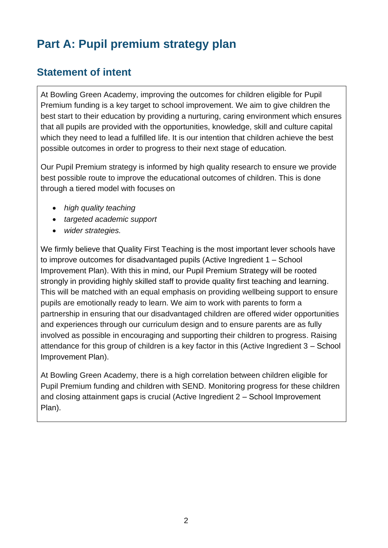# **Part A: Pupil premium strategy plan**

### **Statement of intent**

At Bowling Green Academy, improving the outcomes for children eligible for Pupil Premium funding is a key target to school improvement. We aim to give children the best start to their education by providing a nurturing, caring environment which ensures that all pupils are provided with the opportunities, knowledge, skill and culture capital which they need to lead a fulfilled life. It is our intention that children achieve the best possible outcomes in order to progress to their next stage of education*.*

Our Pupil Premium strategy is informed by high quality research to ensure we provide best possible route to improve the educational outcomes of children. This is done through a tiered model with focuses on

- *high quality teaching*
- *targeted academic support*
- *wider strategies.*

We firmly believe that Quality First Teaching is the most important lever schools have to improve outcomes for disadvantaged pupils (Active Ingredient 1 – School Improvement Plan). With this in mind, our Pupil Premium Strategy will be rooted strongly in providing highly skilled staff to provide quality first teaching and learning. This will be matched with an equal emphasis on providing wellbeing support to ensure pupils are emotionally ready to learn. We aim to work with parents to form a partnership in ensuring that our disadvantaged children are offered wider opportunities and experiences through our curriculum design and to ensure parents are as fully involved as possible in encouraging and supporting their children to progress. Raising attendance for this group of children is a key factor in this (Active Ingredient 3 – School Improvement Plan).

At Bowling Green Academy, there is a high correlation between children eligible for Pupil Premium funding and children with SEND. Monitoring progress for these children and closing attainment gaps is crucial (Active Ingredient 2 – School Improvement Plan).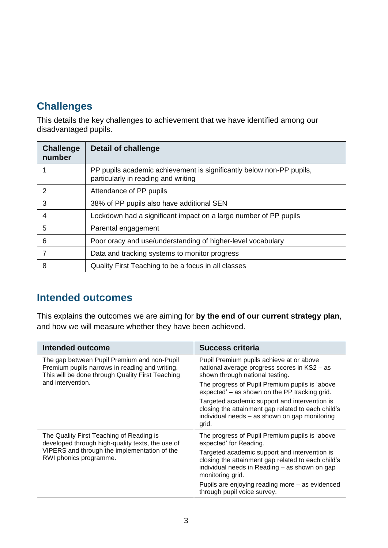### **Challenges**

This details the key challenges to achievement that we have identified among our disadvantaged pupils.

| <b>Challenge</b><br>number | Detail of challenge                                                                                         |
|----------------------------|-------------------------------------------------------------------------------------------------------------|
|                            | PP pupils academic achievement is significantly below non-PP pupils,<br>particularly in reading and writing |
| 2                          | Attendance of PP pupils                                                                                     |
| 3                          | 38% of PP pupils also have additional SEN                                                                   |
| 4                          | Lockdown had a significant impact on a large number of PP pupils                                            |
| 5                          | Parental engagement                                                                                         |
| 6                          | Poor oracy and use/understanding of higher-level vocabulary                                                 |
|                            | Data and tracking systems to monitor progress                                                               |
| 8                          | Quality First Teaching to be a focus in all classes                                                         |

#### **Intended outcomes**

This explains the outcomes we are aiming for **by the end of our current strategy plan**, and how we will measure whether they have been achieved.

| Intended outcome                                                                                                                                  | <b>Success criteria</b>                                                                                                                                                  |
|---------------------------------------------------------------------------------------------------------------------------------------------------|--------------------------------------------------------------------------------------------------------------------------------------------------------------------------|
| The gap between Pupil Premium and non-Pupil<br>Premium pupils narrows in reading and writing.<br>This will be done through Quality First Teaching | Pupil Premium pupils achieve at or above<br>national average progress scores in KS2 - as<br>shown through national testing.                                              |
| and intervention.                                                                                                                                 | The progress of Pupil Premium pupils is 'above<br>expected' – as shown on the PP tracking grid.                                                                          |
|                                                                                                                                                   | Targeted academic support and intervention is<br>closing the attainment gap related to each child's<br>individual needs - as shown on gap monitoring<br>grid.            |
| The Quality First Teaching of Reading is<br>developed through high-quality texts, the use of                                                      | The progress of Pupil Premium pupils is 'above<br>expected' for Reading.                                                                                                 |
| VIPERS and through the implementation of the<br>RWI phonics programme.                                                                            | Targeted academic support and intervention is<br>closing the attainment gap related to each child's<br>individual needs in Reading - as shown on gap<br>monitoring grid. |
|                                                                                                                                                   | Pupils are enjoying reading more – as evidenced<br>through pupil voice survey.                                                                                           |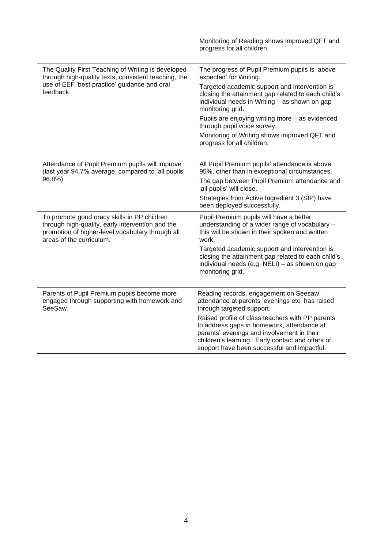|                                                                                                                                                                                 | Monitoring of Reading shows improved QFT and<br>progress for all children.                                                                                                                                                                                                                                                                                                                                           |
|---------------------------------------------------------------------------------------------------------------------------------------------------------------------------------|----------------------------------------------------------------------------------------------------------------------------------------------------------------------------------------------------------------------------------------------------------------------------------------------------------------------------------------------------------------------------------------------------------------------|
| The Quality First Teaching of Writing is developed<br>through high-quality texts, consistent teaching, the<br>use of EEF 'best practice' guidance and oral<br>feedback.         | The progress of Pupil Premium pupils is 'above<br>expected' for Writing.<br>Targeted academic support and intervention is<br>closing the attainment gap related to each child's<br>individual needs in Writing - as shown on gap<br>monitoring grid.<br>Pupils are enjoying writing more - as evidenced<br>through pupil voice survey.<br>Monitoring of Writing shows improved QFT and<br>progress for all children. |
| Attendance of Pupil Premium pupils will improve<br>(last year 94.7% average, compared to 'all pupils'<br>96.8%).                                                                | All Pupil Premium pupils' attendance is above<br>95%, other than in exceptional circumstances.<br>The gap between Pupil Premium attendance and<br>'all pupils' will close.<br>Strategies from Active Ingredient 3 (SIP) have<br>been deployed successfully.                                                                                                                                                          |
| To promote good oracy skills in PP children<br>through high-quality, early intervention and the<br>promotion of higher-level vocabulary through all<br>areas of the curriculum. | Pupil Premium pupils will have a better<br>understanding of a wider range of vocabulary -<br>this will be shown in their spoken and written<br>work.<br>Targeted academic support and intervention is<br>closing the attainment gap related to each child's<br>individual needs (e.g. NELI) - as shown on gap<br>monitoring grid.                                                                                    |
| Parents of Pupil Premium pupils become more<br>engaged through supporting with homework and<br>SeeSaw.                                                                          | Reading records, engagement on Seesaw,<br>attendance at parents 'evenings etc. has raised<br>through targeted support.<br>Raised profile of class teachers with PP parents<br>to address gaps in homework, attendance at<br>parents' evenings and involvement in their<br>children's learning. Early contact and offers of<br>support have been successful and impactful.                                            |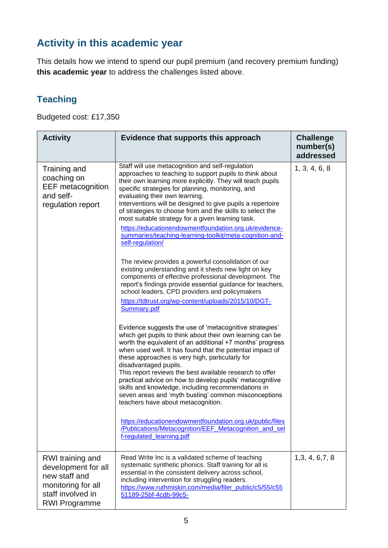## **Activity in this academic year**

This details how we intend to spend our pupil premium (and recovery premium funding) **this academic year** to address the challenges listed above.

#### **Teaching**

Budgeted cost: £17,350

| <b>Activity</b>                                                                                                             | Evidence that supports this approach                                                                                                                                                                                                                                                                                                                                                                                                                                                                                                                                                                                                                                                                                                                                                                                           | <b>Challenge</b><br>number(s)<br>addressed |
|-----------------------------------------------------------------------------------------------------------------------------|--------------------------------------------------------------------------------------------------------------------------------------------------------------------------------------------------------------------------------------------------------------------------------------------------------------------------------------------------------------------------------------------------------------------------------------------------------------------------------------------------------------------------------------------------------------------------------------------------------------------------------------------------------------------------------------------------------------------------------------------------------------------------------------------------------------------------------|--------------------------------------------|
| Training and<br>coaching on<br><b>EEF</b> metacognition<br>and self-<br>regulation report                                   | Staff will use metacognition and self-regulation<br>approaches to teaching to support pupils to think about<br>their own learning more explicitly. They will teach pupils<br>specific strategies for planning, monitoring, and<br>evaluating their own learning.<br>Interventions will be designed to give pupils a repertoire<br>of strategies to choose from and the skills to select the<br>most suitable strategy for a given learning task.<br>https://educationendowmentfoundation.org.uk/evidence-<br>summaries/teaching-learning-toolkit/meta-cognition-and-<br>self-regulation/<br>The review provides a powerful consolidation of our<br>existing understanding and it sheds new light on key<br>components of effective professional development. The<br>report's findings provide essential guidance for teachers, | 1, 3, 4, 6, 8                              |
|                                                                                                                             | school leaders, CPD providers and policymakers<br>https://tdtrust.org/wp-content/uploads/2015/10/DGT-<br>Summary.pdf                                                                                                                                                                                                                                                                                                                                                                                                                                                                                                                                                                                                                                                                                                           |                                            |
|                                                                                                                             | Evidence suggests the use of 'metacognitive strategies'<br>which get pupils to think about their own learning can be<br>worth the equivalent of an additional +7 months' progress<br>when used well. It has found that the potential impact of<br>these approaches is very high, particularly for<br>disadvantaged pupils.<br>This report reviews the best available research to offer<br>practical advice on how to develop pupils' metacognitive<br>skills and knowledge, including recommendations in<br>seven areas and 'myth busting' common misconceptions                                                                                                                                                                                                                                                               |                                            |
|                                                                                                                             | teachers have about metacognition.<br>https://educationendowmentfoundation.org.uk/public/files<br>/Publications/Metacognition/EEF_Metacognition_and_sel<br>f-regulated learning.pdf                                                                                                                                                                                                                                                                                                                                                                                                                                                                                                                                                                                                                                            |                                            |
| RWI training and<br>development for all<br>new staff and<br>monitoring for all<br>staff involved in<br><b>RWI Programme</b> | Read Write Inc is a validated scheme of teaching<br>systematic synthetic phonics. Staff training for all is<br>essential in the consistent delivery across school,<br>including intervention for struggling readers.<br>https://www.ruthmiskin.com/media/filer_public/c5/55/c55<br>51189-25bf-4cdb-99c5-                                                                                                                                                                                                                                                                                                                                                                                                                                                                                                                       | 1,3,4,6,7,8                                |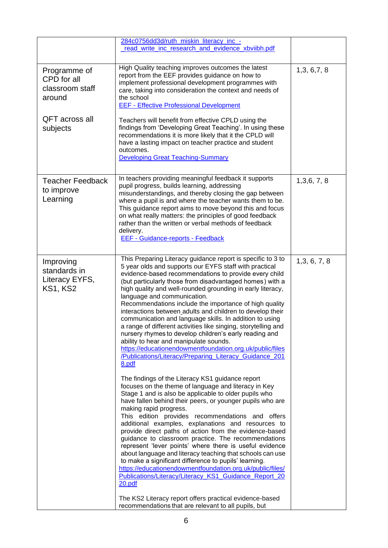|                                                                                        | 284c0756dd3d/ruth_miskin_literacy_inc_-                                                                                                                                                                                                                                                                                                                                                                                                                                                                                                                                                                                                                                                                                                                                                                                                                                                                                                                                                                                                                                                                                                                                                                                                                                                                                                                                                                                                                                                                                                                                                                                                                                                           |              |
|----------------------------------------------------------------------------------------|---------------------------------------------------------------------------------------------------------------------------------------------------------------------------------------------------------------------------------------------------------------------------------------------------------------------------------------------------------------------------------------------------------------------------------------------------------------------------------------------------------------------------------------------------------------------------------------------------------------------------------------------------------------------------------------------------------------------------------------------------------------------------------------------------------------------------------------------------------------------------------------------------------------------------------------------------------------------------------------------------------------------------------------------------------------------------------------------------------------------------------------------------------------------------------------------------------------------------------------------------------------------------------------------------------------------------------------------------------------------------------------------------------------------------------------------------------------------------------------------------------------------------------------------------------------------------------------------------------------------------------------------------------------------------------------------------|--------------|
|                                                                                        | read_write_inc_research_and_evidence_xbviibh.pdf                                                                                                                                                                                                                                                                                                                                                                                                                                                                                                                                                                                                                                                                                                                                                                                                                                                                                                                                                                                                                                                                                                                                                                                                                                                                                                                                                                                                                                                                                                                                                                                                                                                  |              |
| Programme of<br>CPD for all<br>classroom staff<br>around<br>QFT across all<br>subjects | High Quality teaching improves outcomes the latest<br>report from the EEF provides guidance on how to<br>implement professional development programmes with<br>care, taking into consideration the context and needs of<br>the school<br><b>EEF - Effective Professional Development</b><br>Teachers will benefit from effective CPLD using the<br>findings from 'Developing Great Teaching'. In using these<br>recommendations it is more likely that it the CPLD will<br>have a lasting impact on teacher practice and student<br>outcomes.<br><b>Developing Great Teaching-Summary</b>                                                                                                                                                                                                                                                                                                                                                                                                                                                                                                                                                                                                                                                                                                                                                                                                                                                                                                                                                                                                                                                                                                         | 1,3,6,7,8    |
| <b>Teacher Feedback</b><br>to improve<br>Learning                                      | In teachers providing meaningful feedback it supports<br>pupil progress, builds learning, addressing<br>misunderstandings, and thereby closing the gap between<br>where a pupil is and where the teacher wants them to be.<br>This guidance report aims to move beyond this and focus<br>on what really matters: the principles of good feedback<br>rather than the written or verbal methods of feedback<br>delivery.<br><b>EEF - Guidance-reports - Feedback</b>                                                                                                                                                                                                                                                                                                                                                                                                                                                                                                                                                                                                                                                                                                                                                                                                                                                                                                                                                                                                                                                                                                                                                                                                                                | 1,3,6,7,8    |
| Improving<br>standards in<br>Literacy EYFS,<br><b>KS1, KS2</b>                         | This Preparing Literacy guidance report is specific to 3 to<br>5 year olds and supports our EYFS staff with practical<br>evidence-based recommendations to provide every child<br>(but particularly those from disadvantaged homes) with a<br>high quality and well-rounded grounding in early literacy,<br>language and communication.<br>Recommendations include the importance of high quality<br>interactions between adults and children to develop their<br>communication and language skills. In addition to using<br>a range of different activities like singing, storytelling and<br>nursery rhymes to develop children's early reading and<br>ability to hear and manipulate sounds.<br>https://educationendowmentfoundation.org.uk/public/files<br>/Publications/Literacy/Preparing_Literacy_Guidance_201<br>8.pdf<br>The findings of the Literacy KS1 guidance report<br>focuses on the theme of language and literacy in Key<br>Stage 1 and is also be applicable to older pupils who<br>have fallen behind their peers, or younger pupils who are<br>making rapid progress.<br>This edition provides recommendations and offers<br>additional examples, explanations and resources to<br>provide direct paths of action from the evidence-based<br>guidance to classroom practice. The recommendations<br>represent 'lever points' where there is useful evidence<br>about language and literacy teaching that schools can use<br>to make a significant difference to pupils' learning.<br>https://educationendowmentfoundation.org.uk/public/files/<br>Publications/Literacy/Literacy_KS1_Guidance_Report_20<br>20.pdf<br>The KS2 Literacy report offers practical evidence-based | 1,3, 6, 7, 8 |
|                                                                                        | recommendations that are relevant to all pupils, but                                                                                                                                                                                                                                                                                                                                                                                                                                                                                                                                                                                                                                                                                                                                                                                                                                                                                                                                                                                                                                                                                                                                                                                                                                                                                                                                                                                                                                                                                                                                                                                                                                              |              |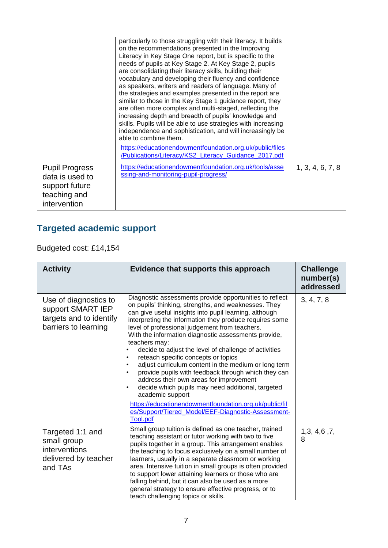|                                                                                            | particularly to those struggling with their literacy. It builds<br>on the recommendations presented in the Improving<br>Literacy in Key Stage One report, but is specific to the<br>needs of pupils at Key Stage 2. At Key Stage 2, pupils<br>are consolidating their literacy skills, building their<br>vocabulary and developing their fluency and confidence<br>as speakers, writers and readers of language. Many of<br>the strategies and examples presented in the report are<br>similar to those in the Key Stage 1 guidance report, they<br>are often more complex and multi-staged, reflecting the<br>increasing depth and breadth of pupils' knowledge and<br>skills. Pupils will be able to use strategies with increasing<br>independence and sophistication, and will increasingly be<br>able to combine them.<br>https://educationendowmentfoundation.org.uk/public/files<br>/Publications/Literacy/KS2 Literacy Guidance 2017.pdf |                  |
|--------------------------------------------------------------------------------------------|--------------------------------------------------------------------------------------------------------------------------------------------------------------------------------------------------------------------------------------------------------------------------------------------------------------------------------------------------------------------------------------------------------------------------------------------------------------------------------------------------------------------------------------------------------------------------------------------------------------------------------------------------------------------------------------------------------------------------------------------------------------------------------------------------------------------------------------------------------------------------------------------------------------------------------------------------|------------------|
| <b>Pupil Progress</b><br>data is used to<br>support future<br>teaching and<br>intervention | https://educationendowmentfoundation.org.uk/tools/asse<br>ssing-and-monitoring-pupil-progress/                                                                                                                                                                                                                                                                                                                                                                                                                                                                                                                                                                                                                                                                                                                                                                                                                                                   | 1, 3, 4, 6, 7, 8 |

# **Targeted academic support**

Budgeted cost: £14,154

| <b>Activity</b>                                                                               | Evidence that supports this approach                                                                                                                                                                                                                                                                                                                                                                                                                                                                                                                                                                                                                                                                                                                                                                                    | <b>Challenge</b><br>number(s)<br>addressed |
|-----------------------------------------------------------------------------------------------|-------------------------------------------------------------------------------------------------------------------------------------------------------------------------------------------------------------------------------------------------------------------------------------------------------------------------------------------------------------------------------------------------------------------------------------------------------------------------------------------------------------------------------------------------------------------------------------------------------------------------------------------------------------------------------------------------------------------------------------------------------------------------------------------------------------------------|--------------------------------------------|
| Use of diagnostics to<br>support SMART IEP<br>targets and to identify<br>barriers to learning | Diagnostic assessments provide opportunities to reflect<br>on pupils' thinking, strengths, and weaknesses. They<br>can give useful insights into pupil learning, although<br>interpreting the information they produce requires some<br>level of professional judgement from teachers.<br>With the information diagnostic assessments provide,<br>teachers may:<br>decide to adjust the level of challenge of activities<br>reteach specific concepts or topics<br>٠<br>adjust curriculum content in the medium or long term<br>provide pupils with feedback through which they can<br>address their own areas for improvement<br>decide which pupils may need additional, targeted<br>academic support<br>https://educationendowmentfoundation.org.uk/public/fil<br>es/Support/Tiered Model/EEF-Diagnostic-Assessment- | 3, 4, 7, 8                                 |
|                                                                                               | <b>Tool.pdf</b>                                                                                                                                                                                                                                                                                                                                                                                                                                                                                                                                                                                                                                                                                                                                                                                                         |                                            |
| Targeted 1:1 and<br>small group<br>interventions<br>delivered by teacher<br>and TAs           | Small group tuition is defined as one teacher, trained<br>teaching assistant or tutor working with two to five<br>pupils together in a group. This arrangement enables<br>the teaching to focus exclusively on a small number of<br>learners, usually in a separate classroom or working<br>area. Intensive tuition in small groups is often provided<br>to support lower attaining learners or those who are<br>falling behind, but it can also be used as a more<br>general strategy to ensure effective progress, or to<br>teach challenging topics or skills.                                                                                                                                                                                                                                                       | 1,3,4,6,7,<br>8                            |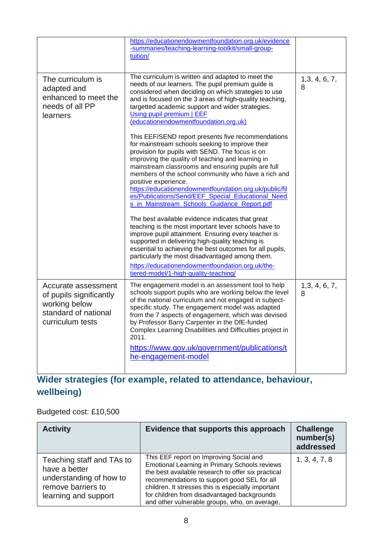|                                                                                                             | https://educationendowmentfoundation.org.uk/evidence<br>-summaries/teaching-learning-toolkit/small-group-<br>tuition/                                                                                                                                                                                                                                                                                                                                                                                            |                 |
|-------------------------------------------------------------------------------------------------------------|------------------------------------------------------------------------------------------------------------------------------------------------------------------------------------------------------------------------------------------------------------------------------------------------------------------------------------------------------------------------------------------------------------------------------------------------------------------------------------------------------------------|-----------------|
| The curriculum is<br>adapted and<br>enhanced to meet the<br>needs of all PP<br>learners                     | The curriculum is written and adapted to meet the<br>needs of our learners. The pupil premium guide is<br>considered when deciding on which strategies to use<br>and is focused on the 3 areas of high-quality teaching,<br>targetted academic support and wider strategies.<br>Using pupil premium   EEF<br>(educationendowmentfoundation.org.uk)                                                                                                                                                               | 1,3,4,6,7,<br>8 |
|                                                                                                             | This EEF/SEND report presents five recommendations<br>for mainstream schools seeking to improve their<br>provision for pupils with SEND. The focus is on<br>improving the quality of teaching and learning in<br>mainstream classrooms and ensuring pupils are full<br>members of the school community who have a rich and<br>positive experience.<br>https://educationendowmentfoundation.org.uk/public/fil<br>es/Publications/Send/EEF Special Educational Need<br>s_in_Mainstream_Schools_Guidance_Report.pdf |                 |
|                                                                                                             | The best available evidence indicates that great<br>teaching is the most important lever schools have to<br>improve pupil attainment. Ensuring every teacher is<br>supported in delivering high-quality teaching is<br>essential to achieving the best outcomes for all pupils,<br>particularly the most disadvantaged among them.<br>https://educationendowmentfoundation.org.uk/the-<br>tiered-model/1-high-quality-teaching/                                                                                  |                 |
| Accurate assessment<br>of pupils significantly<br>working below<br>standard of national<br>curriculum tests | The engagement model is an assessment tool to help<br>schools support pupils who are working below the level<br>of the national curriculum and not engaged in subject-<br>specific study. The engagement model was adapted<br>from the 7 aspects of engagement, which was devised<br>by Professor Barry Carpenter in the DfE-funded<br>Complex Learning Disabilities and Difficulties project in<br>2011.<br>https://www.gov.uk/government/publications/t<br>he-engagement-model                                 | 1,3,4,6,7,<br>8 |

### **Wider strategies (for example, related to attendance, behaviour, wellbeing)**

Budgeted cost: £10,500

| <b>Activity</b>                                                                                                     | Evidence that supports this approach                                                                                                                                                                                                                                                                                                                       | <b>Challenge</b><br>number(s)<br>addressed |
|---------------------------------------------------------------------------------------------------------------------|------------------------------------------------------------------------------------------------------------------------------------------------------------------------------------------------------------------------------------------------------------------------------------------------------------------------------------------------------------|--------------------------------------------|
| Teaching staff and TAs to<br>have a better<br>understanding of how to<br>remove barriers to<br>learning and support | This EEF report on Improving Social and<br><b>Emotional Learning in Primary Schools reviews</b><br>the best available research to offer six practical<br>recommendations to support good SEL for all<br>children. It stresses this is especially important<br>for children from disadvantaged backgrounds<br>and other vulnerable groups, who, on average, | 1, 3, 4, 7, 8                              |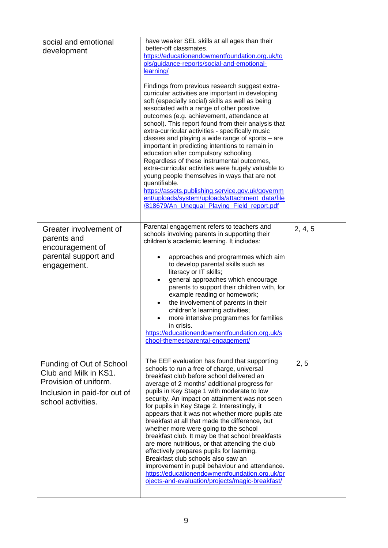| social and emotional<br>development                                                                                              | have weaker SEL skills at all ages than their<br>better-off classmates.<br>https://educationendowmentfoundation.org.uk/to<br>ols/guidance-reports/social-and-emotional-<br>learning/<br>Findings from previous research suggest extra-<br>curricular activities are important in developing<br>soft (especially social) skills as well as being<br>associated with a range of other positive<br>outcomes (e.g. achievement, attendance at<br>school). This report found from their analysis that<br>extra-curricular activities - specifically music<br>classes and playing a wide range of sports - are<br>important in predicting intentions to remain in<br>education after compulsory schooling.<br>Regardless of these instrumental outcomes,<br>extra-curricular activities were hugely valuable to<br>young people themselves in ways that are not<br>quantifiable.<br>https://assets.publishing.service.gov.uk/governm<br>ent/uploads/system/uploads/attachment_data/file<br>/818679/An Unequal Playing Field report.pdf |         |
|----------------------------------------------------------------------------------------------------------------------------------|----------------------------------------------------------------------------------------------------------------------------------------------------------------------------------------------------------------------------------------------------------------------------------------------------------------------------------------------------------------------------------------------------------------------------------------------------------------------------------------------------------------------------------------------------------------------------------------------------------------------------------------------------------------------------------------------------------------------------------------------------------------------------------------------------------------------------------------------------------------------------------------------------------------------------------------------------------------------------------------------------------------------------------|---------|
| Greater involvement of<br>parents and<br>encouragement of<br>parental support and<br>engagement.                                 | Parental engagement refers to teachers and<br>schools involving parents in supporting their<br>children's academic learning. It includes:<br>approaches and programmes which aim<br>to develop parental skills such as<br>literacy or IT skills;<br>general approaches which encourage<br>parents to support their children with, for<br>example reading or homework;<br>the involvement of parents in their<br>٠<br>children's learning activities;<br>more intensive programmes for families<br>$\bullet$<br>in crisis.<br>https://educationendowmentfoundation.org.uk/s<br>chool-themes/parental-engagement/                                                                                                                                                                                                                                                                                                                                                                                                                  | 2, 4, 5 |
| Funding of Out of School<br>Club and Milk in KS1.<br>Provision of uniform.<br>Inclusion in paid-for out of<br>school activities. | The EEF evaluation has found that supporting<br>schools to run a free of charge, universal<br>breakfast club before school delivered an<br>average of 2 months' additional progress for<br>pupils in Key Stage 1 with moderate to low<br>security. An impact on attainment was not seen<br>for pupils in Key Stage 2. Interestingly, it<br>appears that it was not whether more pupils ate<br>breakfast at all that made the difference, but<br>whether more were going to the school<br>breakfast club. It may be that school breakfasts<br>are more nutritious, or that attending the club<br>effectively prepares pupils for learning.<br>Breakfast club schools also saw an<br>improvement in pupil behaviour and attendance.<br>https://educationendowmentfoundation.org.uk/pr<br>ojects-and-evaluation/projects/magic-breakfast/                                                                                                                                                                                           | 2, 5    |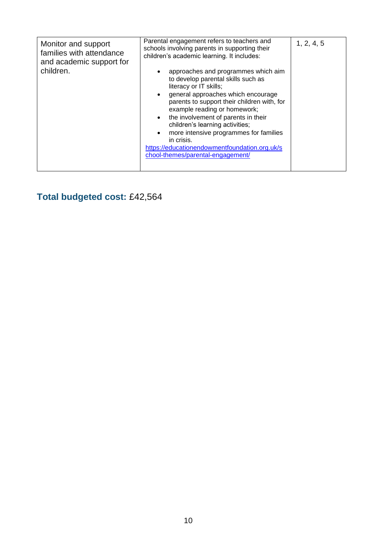| chool-themes/parental-engagement/ |
|-----------------------------------|
|                                   |

**Total budgeted cost:** £42,564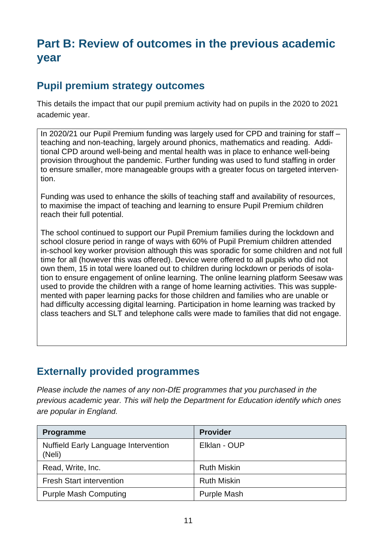## **Part B: Review of outcomes in the previous academic year**

#### **Pupil premium strategy outcomes**

This details the impact that our pupil premium activity had on pupils in the 2020 to 2021 academic year.

In 2020/21 our Pupil Premium funding was largely used for CPD and training for staff – teaching and non-teaching, largely around phonics, mathematics and reading. Additional CPD around well-being and mental health was in place to enhance well-being provision throughout the pandemic. Further funding was used to fund staffing in order to ensure smaller, more manageable groups with a greater focus on targeted intervention.

Funding was used to enhance the skills of teaching staff and availability of resources, to maximise the impact of teaching and learning to ensure Pupil Premium children reach their full potential.

The school continued to support our Pupil Premium families during the lockdown and school closure period in range of ways with 60% of Pupil Premium children attended in-school key worker provision although this was sporadic for some children and not full time for all (however this was offered). Device were offered to all pupils who did not own them, 15 in total were loaned out to children during lockdown or periods of isolation to ensure engagement of online learning. The online learning platform Seesaw was used to provide the children with a range of home learning activities. This was supplemented with paper learning packs for those children and families who are unable or had difficulty accessing digital learning. Participation in home learning was tracked by class teachers and SLT and telephone calls were made to families that did not engage.

#### **Externally provided programmes**

*Please include the names of any non-DfE programmes that you purchased in the previous academic year. This will help the Department for Education identify which ones are popular in England.*

| <b>Programme</b>                                      | <b>Provider</b>    |
|-------------------------------------------------------|--------------------|
| <b>Nuffield Early Language Intervention</b><br>(Neli) | Elklan - OUP       |
| Read, Write, Inc.                                     | <b>Ruth Miskin</b> |
| <b>Fresh Start intervention</b>                       | <b>Ruth Miskin</b> |
| <b>Purple Mash Computing</b>                          | <b>Purple Mash</b> |